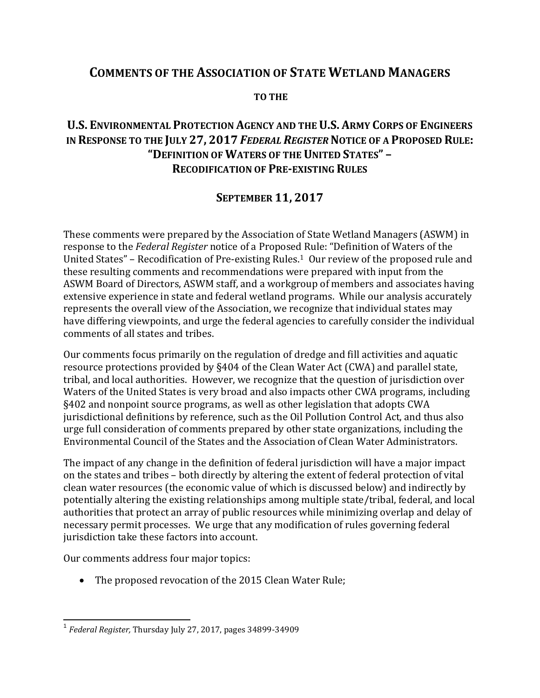# **COMMENTS OF THE ASSOCIATION OF STATE WETLAND MANAGERS**

#### **TO THE**

# **U.S. ENVIRONMENTAL PROTECTION AGENCY AND THE U.S. ARMY CORPS OF ENGINEERS IN RESPONSE TO THE JULY 27, 2017** *FEDERAL REGISTER***NOTICE OF A PROPOSED RULE: "DEFINITION OF WATERS OF THE UNITED STATES" – RECODIFICATION OF PRE-EXISTING RULES**

## **SEPTEMBER 11, 2017**

These comments were prepared by the Association of State Wetland Managers (ASWM) in response to the *Federal Register* notice of a Proposed Rule: "Definition of Waters of the United States" – Recodification of Pre-existing Rules.[1](#page-0-0) Our review of the proposed rule and these resulting comments and recommendations were prepared with input from the ASWM Board of Directors, ASWM staff, and a workgroup of members and associates having extensive experience in state and federal wetland programs. While our analysis accurately represents the overall view of the Association, we recognize that individual states may have differing viewpoints, and urge the federal agencies to carefully consider the individual comments of all states and tribes.

Our comments focus primarily on the regulation of dredge and fill activities and aquatic resource protections provided by §404 of the Clean Water Act (CWA) and parallel state, tribal, and local authorities. However, we recognize that the question of jurisdiction over Waters of the United States is very broad and also impacts other CWA programs, including §402 and nonpoint source programs, as well as other legislation that adopts CWA jurisdictional definitions by reference, such as the Oil Pollution Control Act, and thus also urge full consideration of comments prepared by other state organizations, including the Environmental Council of the States and the Association of Clean Water Administrators.

The impact of any change in the definition of federal jurisdiction will have a major impact on the states and tribes – both directly by altering the extent of federal protection of vital clean water resources (the economic value of which is discussed below) and indirectly by potentially altering the existing relationships among multiple state/tribal, federal, and local authorities that protect an array of public resources while minimizing overlap and delay of necessary permit processes. We urge that any modification of rules governing federal jurisdiction take these factors into account.

Our comments address four major topics:

• The proposed revocation of the 2015 Clean Water Rule;

<span id="page-0-0"></span><sup>1</sup> *Federal Register,* Thursday July 27, 2017, pages 34899-34909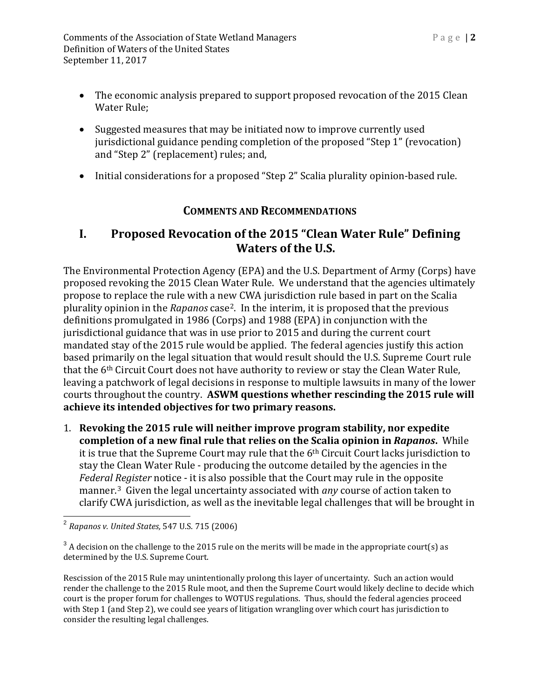- The economic analysis prepared to support proposed revocation of the 2015 Clean Water Rule;
- Suggested measures that may be initiated now to improve currently used jurisdictional guidance pending completion of the proposed "Step 1" (revocation) and "Step 2" (replacement) rules; and,
- Initial considerations for a proposed "Step 2" Scalia plurality opinion-based rule.

## **COMMENTS AND RECOMMENDATIONS**

# **I. Proposed Revocation of the 2015 "Clean Water Rule" Defining Waters of the U.S.**

The Environmental Protection Agency (EPA) and the U.S. Department of Army (Corps) have proposed revoking the 2015 Clean Water Rule. We understand that the agencies ultimately propose to replace the rule with a new CWA jurisdiction rule based in part on the Scalia plurality opinion in the *Rapanos* case[2.](#page-1-0) In the interim, it is proposed that the previous definitions promulgated in 1986 (Corps) and 1988 (EPA) in conjunction with the jurisdictional guidance that was in use prior to 2015 and during the current court mandated stay of the 2015 rule would be applied. The federal agencies justify this action based primarily on the legal situation that would result should the U.S. Supreme Court rule that the 6th Circuit Court does not have authority to review or stay the Clean Water Rule, leaving a patchwork of legal decisions in response to multiple lawsuits in many of the lower courts throughout the country. **ASWM questions whether rescinding the 2015 rule will achieve its intended objectives for two primary reasons.** 

1. **Revoking the 2015 rule will neither improve program stability, nor expedite completion of a new final rule that relies on the Scalia opinion in** *Rapanos***.** While it is true that the Supreme Court may rule that the  $6<sup>th</sup>$  Circuit Court lacks jurisdiction to stay the Clean Water Rule - producing the outcome detailed by the agencies in the *Federal Register* notice - it is also possible that the Court may rule in the opposite manner.[3](#page-1-1) Given the legal uncertainty associated with *any* course of action taken to clarify CWA jurisdiction, as well as the inevitable legal challenges that will be brought in

<span id="page-1-0"></span><sup>2</sup> *Rapanos v. United States,* 547 U.S. 715 (2006)

<span id="page-1-1"></span> $3$  A decision on the challenge to the 2015 rule on the merits will be made in the appropriate court(s) as determined by the U.S. Supreme Court.

Rescission of the 2015 Rule may unintentionally prolong this layer of uncertainty. Such an action would render the challenge to the 2015 Rule moot, and then the Supreme Court would likely decline to decide which court is the proper forum for challenges to WOTUS regulations. Thus, should the federal agencies proceed with Step 1 (and Step 2), we could see years of litigation wrangling over which court has jurisdiction to consider the resulting legal challenges.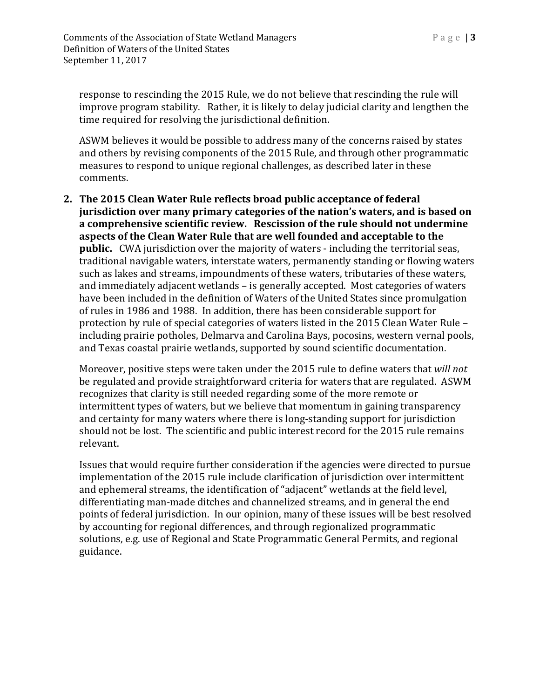response to rescinding the 2015 Rule, we do not believe that rescinding the rule will improve program stability. Rather, it is likely to delay judicial clarity and lengthen the time required for resolving the jurisdictional definition.

ASWM believes it would be possible to address many of the concerns raised by states and others by revising components of the 2015 Rule, and through other programmatic measures to respond to unique regional challenges, as described later in these comments.

**2. The 2015 Clean Water Rule reflects broad public acceptance of federal jurisdiction over many primary categories of the nation's waters, and is based on a comprehensive scientific review. Rescission of the rule should not undermine aspects of the Clean Water Rule that are well founded and acceptable to the public.** CWA jurisdiction over the majority of waters - including the territorial seas, traditional navigable waters, interstate waters, permanently standing or flowing waters such as lakes and streams, impoundments of these waters, tributaries of these waters, and immediately adjacent wetlands – is generally accepted. Most categories of waters have been included in the definition of Waters of the United States since promulgation of rules in 1986 and 1988. In addition, there has been considerable support for protection by rule of special categories of waters listed in the 2015 Clean Water Rule – including prairie potholes, Delmarva and Carolina Bays, pocosins, western vernal pools, and Texas coastal prairie wetlands, supported by sound scientific documentation.

Moreover, positive steps were taken under the 2015 rule to define waters that *will not* be regulated and provide straightforward criteria for waters that are regulated. ASWM recognizes that clarity is still needed regarding some of the more remote or intermittent types of waters, but we believe that momentum in gaining transparency and certainty for many waters where there is long-standing support for jurisdiction should not be lost. The scientific and public interest record for the 2015 rule remains relevant.

Issues that would require further consideration if the agencies were directed to pursue implementation of the 2015 rule include clarification of jurisdiction over intermittent and ephemeral streams, the identification of "adjacent" wetlands at the field level, differentiating man-made ditches and channelized streams, and in general the end points of federal jurisdiction. In our opinion, many of these issues will be best resolved by accounting for regional differences, and through regionalized programmatic solutions, e.g. use of Regional and State Programmatic General Permits, and regional guidance.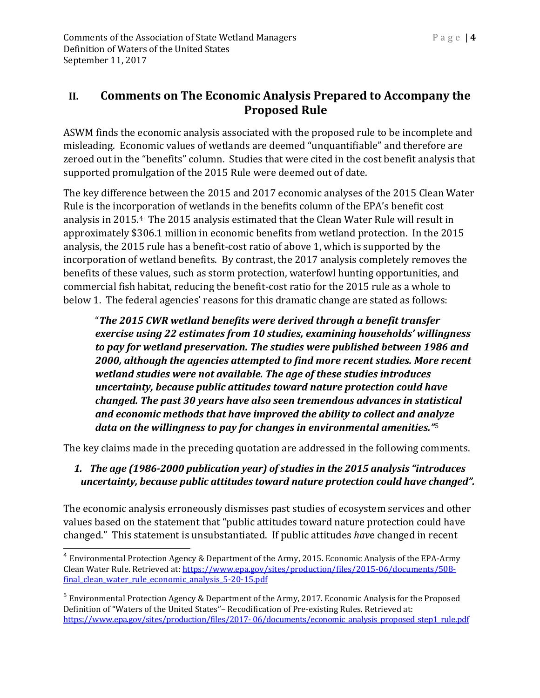ASWM finds the economic analysis associated with the proposed rule to be incomplete and misleading. Economic values of wetlands are deemed "unquantifiable" and therefore are zeroed out in the "benefits" column. Studies that were cited in the cost benefit analysis that supported promulgation of the 2015 Rule were deemed out of date.

The key difference between the 2015 and 2017 economic analyses of the 2015 Clean Water Rule is the incorporation of wetlands in the benefits column of the EPA's benefit cost analysis in 2015.[4](#page-3-0) The 2015 analysis estimated that the Clean Water Rule will result in approximately \$306.1 million in economic benefits from wetland protection. In the 2015 analysis, the 2015 rule has a benefit-cost ratio of above 1, which is supported by the incorporation of wetland benefits. By contrast, the 2017 analysis completely removes the benefits of these values, such as storm protection, waterfowl hunting opportunities, and commercial fish habitat, reducing the benefit-cost ratio for the 2015 rule as a whole to below 1. The federal agencies' reasons for this dramatic change are stated as follows:

"*The 2015 CWR wetland benefits were derived through a benefit transfer exercise using 22 estimates from 10 studies, examining households' willingness to pay for wetland preservation. The studies were published between 1986 and 2000, although the agencies attempted to find more recent studies. More recent wetland studies were not available. The age of these studies introduces uncertainty, because public attitudes toward nature protection could have changed. The past 30 years have also seen tremendous advances in statistical and economic methods that have improved the ability to collect and an[aly](#page-3-1)ze data on the willingness to pay for changes in environmental amenities."*<sup>5</sup>

The key claims made in the preceding quotation are addressed in the following comments.

### *1. The age (1986-2000 publication year) of studies in the 2015 analysis "introduces uncertainty, because public attitudes toward nature protection could have changed".*

The economic analysis erroneously dismisses past studies of ecosystem services and other values based on the statement that "public attitudes toward nature protection could have changed." This statement is unsubstantiated. If public attitudes *hav*e changed in recent

<span id="page-3-0"></span><sup>4</sup> Environmental Protection Agency & Department of the Army, 2015. Economic Analysis of the EPA-Army Clean Water Rule. Retrieved at: [https://www.epa.gov/sites/production/files/2015-06/documents/508](https://www.epa.gov/sites/production/files/2015-06/documents/508-final_clean_water_rule_economic_analysis_5-20-15.pdf) final clean water rule economic analysis 5-20-15.pdf

<span id="page-3-1"></span><sup>5</sup> Environmental Protection Agency & Department of the Army, 2017. Economic Analysis for the Proposed Definition of "Waters of the United States"– Recodification of Pre-existing Rules. Retrieved at: https://www.epa.gov/sites/production/files/2017-[06/documents/economic\\_analysis\\_proposed\\_step1\\_rule.pdf](https://www.epa.gov/sites/production/files/2017-%2006/documents/economic_analysis_proposed_step1_rule.pdf)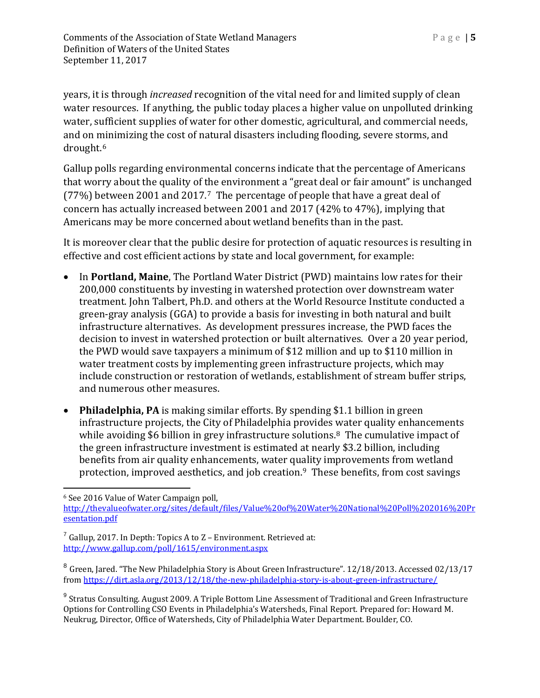years, it is through *increased* recognition of the vital need for and limited supply of clean water resources. If anything, the public today places a higher value on unpolluted drinking water, sufficient supplies of water for other domestic, agricultural, and commercial needs, and on [mi](#page-4-0)nimizing the cost of natural disasters including flooding, severe storms, and drought.6

Gallup polls regarding environmental concerns indicate that the percentage of Americans that worry about the quality of the environment a "great deal or fair amount" is unchanged (77%) between 2001 and 2017.[7](#page-4-1) The percentage of people that have a great deal of concern has actually increased between 2001 and 2017 (42% to 47%), implying that Americans may be more concerned about wetland benefits than in the past.

It is moreover clear that the public desire for protection of aquatic resources is resulting in effective and cost efficient actions by state and local government, for example:

- In **Portland, Maine**, The Portland Water District (PWD) maintains low rates for their 200,000 constituents by investing in watershed protection over downstream water treatment. John Talbert, Ph.D. and others at the World Resource Institute conducted a green-gray analysis (GGA) to provide a basis for investing in both natural and built infrastructure alternatives. As development pressures increase, the PWD faces the decision to invest in watershed protection or built alternatives. Over a 20 year period, the PWD would save taxpayers a minimum of \$12 million and up to \$110 million in water treatment costs by implementing green infrastructure projects, which may include construction or restoration of wetlands, establishment of stream buffer strips, and numerous other measures.
- **Philadelphia, PA** is making similar efforts. By spending \$1.1 billion in green infrastructure projects, the City of Philadelphia provides water quality enhancements while avoiding \$6 billion in grey infrastructure solutions.<sup>[8](#page-4-2)</sup> The cumulative impact of the green infrastructure investment is estimated at nearly \$3.2 billion, including benefits from air quality enhancements, water quality improvements from wetland protection, improved aesthetics, and job creation.[9](#page-4-3) These benefits, from cost savings

<span id="page-4-0"></span> $\ddot{\phantom{a}}$ <sup>6</sup> See 2016 Value of Water Campaign poll,

[http://thevalueofwater.org/sites/default/files/Value%20of%20Water%20National%20Poll%202016%20Pr](http://thevalueofwater.org/sites/default/files/Value%20of%20Water%20National%20Poll%202016%20Presentation.pdf) [esentation.pdf](http://thevalueofwater.org/sites/default/files/Value%20of%20Water%20National%20Poll%202016%20Presentation.pdf)

<span id="page-4-1"></span> $<sup>7</sup>$  Gallup, 2017. In Depth: Topics A to Z – Environment. Retrieved at:</sup> <http://www.gallup.com/poll/1615/environment.aspx>

<span id="page-4-2"></span><sup>8</sup> Green, Jared. "The New Philadelphia Story is About Green Infrastructure". 12/18/2013. Accessed 02/13/17 from<https://dirt.asla.org/2013/12/18/the-new-philadelphia-story-is-about-green-infrastructure/>

<span id="page-4-3"></span><sup>9</sup> Stratus Consulting. August 2009. A Triple Bottom Line Assessment of Traditional and Green Infrastructure Options for Controlling CSO Events in Philadelphia's Watersheds, Final Report. Prepared for: Howard M. Neukrug, Director, Office of Watersheds, City of Philadelphia Water Department. Boulder, CO.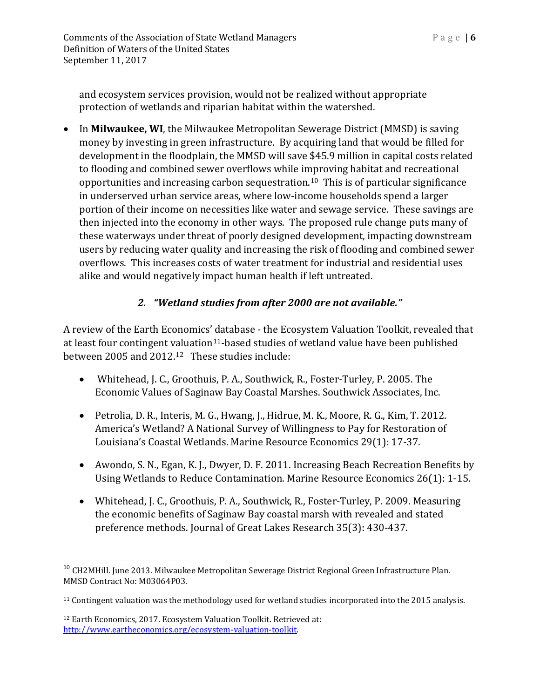and ecosystem services provision, would not be realized without appropriate protection of wetlands and riparian habitat within the watershed.

• In **Milwaukee, WI**, the Milwaukee Metropolitan Sewerage District (MMSD) is saving money by investing in green infrastructure. By acquiring land that would be filled for development in the floodplain, the MMSD will save \$45.9 million in capital costs related to flooding and combined sewer overflows while improving habitat and recreational opportunities and increasing carbon sequestration.[10](#page-5-0) This is of particular significance in underserved urban service areas, where low-income households spend a larger portion of their income on necessities like water and sewage service. These savings are then injected into the economy in other ways. The proposed rule change puts many of these waterways under threat of poorly designed development, impacting downstream users by reducing water quality and increasing the risk of flooding and combined sewer overflows. This increases costs of water treatment for industrial and residential uses alike and would negatively impact human health if left untreated.

#### *2. "Wetland studies from after 2000 are not available."*

A review of the Earth Economics' database - the Ecosystem Valuation Toolkit, revealed that at least four contingent [val](#page-5-2)uation<sup>11</sup>-based studies of wetland value have been published between 2005 and 2012.12 These studies include:

- Whitehead, J. C., Groothuis, P. A., Southwick, R., Foster-Turley, P. 2005. The Economic Values of Saginaw Bay Coastal Marshes. Southwick Associates, Inc.
- Petrolia, D. R., Interis, M. G., Hwang, J., Hidrue, M. K., Moore, R. G., Kim, T. 2012. America's Wetland? A National Survey of Willingness to Pay for Restoration of Louisiana's Coastal Wetlands. Marine Resource Economics 29(1): 17-37.
- Awondo, S. N., Egan, K. J., Dwyer, D. F. 2011. Increasing Beach Recreation Benefits by Using Wetlands to Reduce Contamination. Marine Resource Economics 26(1): 1-15.
- Whitehead, J. C., Groothuis, P. A., Southwick, R., Foster-Turley, P. 2009. Measuring the economic benefits of Saginaw Bay coastal marsh with revealed and stated preference methods. Journal of Great Lakes Research 35(3): 430-437.

<span id="page-5-0"></span><sup>&</sup>lt;sup>10</sup> CH2MHill. June 2013. Milwaukee Metropolitan Sewerage District Regional Green Infrastructure Plan. MMSD Contract No: M03064P03.

<span id="page-5-1"></span><sup>&</sup>lt;sup>11</sup> Contingent valuation was the methodology used for wetland studies incorporated into the 2015 analysis.

<span id="page-5-2"></span><sup>12</sup> Earth Economics, 2017. Ecosystem Valuation Toolkit. Retrieved at: [http://www.eartheconomics.org/ecosystem-valuation-toolkit.](http://www.eartheconomics.org/ecosystem-valuation-toolkit)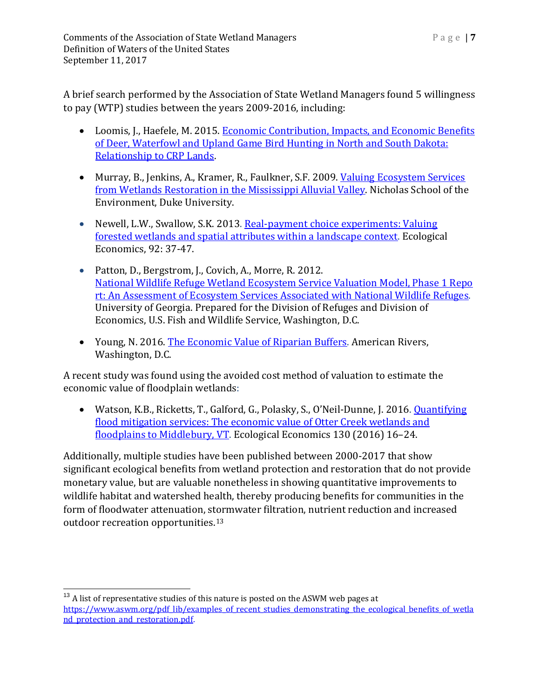A brief search performed by the Association of State Wetland Managers found 5 willingness to pay (WTP) studies between the years 2009-2016, including:

- Loomis, J., Haefele, M. 2015. Economic Contribution, Impacts, and Economic Benefits [of Deer, Waterfowl and Upland Game Bird Hunting in North and South Dakota:](https://www.fsa.usda.gov/Assets/USDA-FSA-Public/usdafiles/EPAS/PDF/Loomis_EtAl_SD_ND_HUNTING_Economic_Study_Final_9-19-2015.pdf)  [Relationship to CRP Lands.](https://www.fsa.usda.gov/Assets/USDA-FSA-Public/usdafiles/EPAS/PDF/Loomis_EtAl_SD_ND_HUNTING_Economic_Study_Final_9-19-2015.pdf)
- Murray, B., Jenkins, A., Kramer, R., Faulkner, S.F. 2009. Valuing Ecosystem Services [from Wetlands Restoration in the Mississippi Alluvial Valley.](http://www.sciencedirect.com/science/article/pii/S0921800909004716) Nicholas School of the Environment, Duke University.
- Newell, L.W., Swallow, S.K. 2013. Real-payment choice experiments: Valuing [forested wetlands and spatial attributes within a landscape context.](http://www.sciencedirect.com/science/article/pii/S0921800912003242) Ecological Economics, 92: 37-47.
- [Patton, D., Bergstrom, J., Covich, A., Morre, R. 2012.](https://www.fws.gov/economics/Discussion%20Papers/USFWS_Ecosystem%20Services_Phase%20I%20Report_04-25-2012.pdf) National Wildlife Refuge Wetland Ecosystem Service Valuation Model, Phase 1 Repo [rt: An Assessment of Ecosystem Services Associated with National Wildlife Refuges.](https://www.fws.gov/economics/Discussion%20Papers/USFWS_Ecosystem%20Services_Phase%20I%20Report_04-25-2012.pdf) University of Georgia. Prepared for the Division of Refuges and Division of Economics, U.S. Fish and Wildlife Service, Washington, D.C.
- Young, N. 2016. [The Economic Value of Riparian Buffers.](http://americanrivers.org/wp-content/uploads/2016/05/AmericanRIvers_EconomicValueRiparianBuffers-2016.pdf) American Rivers, Washington, D.C.

A recent study was found using the avoided cost method of valuation to estimate the economic value of floodplain wetlands:

• Watson, K.B., Ricketts, T., Galford, G., Polasky, S., O'Neil-Dunne, J. 2016. Quantifying [flood mitigation services: The economic value of Otter Creek wetlands and](https://www.uvm.edu/rsenr/taylorricketts/documents/Watson%20et%20al.%202016.pdf)  [floodplains to Middlebury, VT.](https://www.uvm.edu/rsenr/taylorricketts/documents/Watson%20et%20al.%202016.pdf) Ecological Economics 130 (2016) 16-24.

Additionally, multiple studies have been published between 2000-2017 that show significant ecological benefits from wetland protection and restoration that do not provide monetary value, but are valuable nonetheless in showing quantitative improvements to wildlife habitat and watershed health, thereby producing benefits for communities in the form of floodwater attenuation, stormwater filtration, nutrient reduction and increased outdoor recreation opportunities.[13](#page-6-0)

<span id="page-6-0"></span> $13$  A list of representative studies of this nature is posted on the ASWM web pages at [https://www.aswm.org/pdf\\_lib/examples\\_of\\_recent\\_studies\\_demonstrating\\_the\\_ecological\\_benefits\\_of\\_wetla](https://www.aswm.org/pdf_lib/examples_of_recent_studies_demonstrating_the_ecological_benefits_of_wetland_protection_and_restoration.pdf) [nd\\_protection\\_and\\_restoration.pdf.](https://www.aswm.org/pdf_lib/examples_of_recent_studies_demonstrating_the_ecological_benefits_of_wetland_protection_and_restoration.pdf)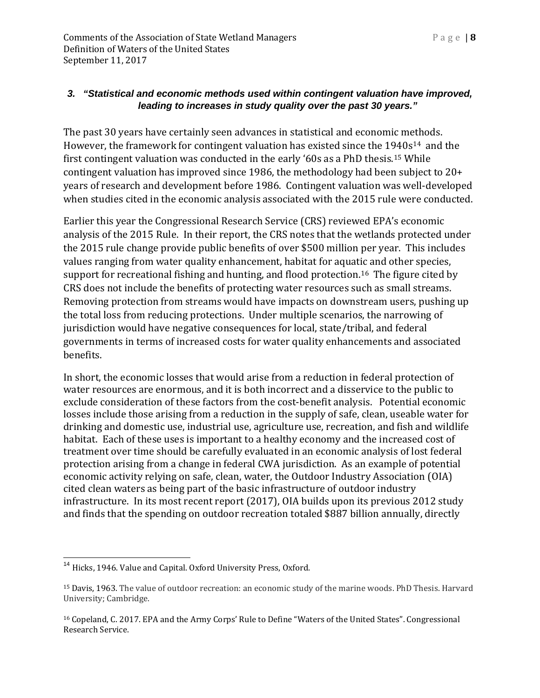#### *3. "Statistical and economic methods used within contingent valuation have improved, leading to increases in study quality over the past 30 years."*

The past 30 years have certainly seen advances in statistical and economic methods. However, the framework for contingent valuation has existed since the 1[94](#page-7-1)0s<sup>[14](#page-7-0)</sup> and the first contingent valuation was conducted in the early '60s as a PhD thesis.15 While contingent valuation has improved since 1986, the methodology had been subject to 20+ years of research and development before 1986. Contingent valuation was well-developed when studies cited in the economic analysis associated with the 2015 rule were conducted.

Earlier this year the Congressional Research Service (CRS) reviewed EPA's economic analysis of the 2015 Rule. In their report, the CRS notes that the wetlands protected under the 2015 rule change provide public benefits of over \$500 million per year. This includes values ranging from water quality enhancement, habitat for aquatic and other species, support for recreational fishing and hunting, and flood protection.<sup>[16](#page-7-2)</sup> The figure cited by CRS does not include the benefits of protecting water resources such as small streams. Removing protection from streams would have impacts on downstream users, pushing up the total loss from reducing protections. Under multiple scenarios, the narrowing of jurisdiction would have negative consequences for local, state/tribal, and federal governments in terms of increased costs for water quality enhancements and associated benefits.

In short, the economic losses that would arise from a reduction in federal protection of water resources are enormous, and it is both incorrect and a disservice to the public to exclude consideration of these factors from the cost-benefit analysis. Potential economic losses include those arising from a reduction in the supply of safe, clean, useable water for drinking and domestic use, industrial use, agriculture use, recreation, and fish and wildlife habitat. Each of these uses is important to a healthy economy and the increased cost of treatment over time should be carefully evaluated in an economic analysis of lost federal protection arising from a change in federal CWA jurisdiction. As an example of potential economic activity relying on safe, clean, water, the Outdoor Industry Association (OIA) cited clean waters as being part of the basic infrastructure of outdoor industry infrastructure. In its most recent report (2017), OIA builds upon its previous 2012 study and finds that the spending on outdoor recreation totaled \$887 billion annually, directly

<span id="page-7-0"></span><sup>&</sup>lt;sup>14</sup> Hicks, 1946. Value and Capital. Oxford University Press, Oxford.

<span id="page-7-1"></span><sup>15</sup> Davis, 1963. The value of outdoor recreation: an economic study of the marine woods. PhD Thesis. Harvard University; Cambridge.

<span id="page-7-2"></span><sup>16</sup> Copeland, C. 2017. EPA and the Army Corps' Rule to Define "Waters of the United States". Congressional Research Service.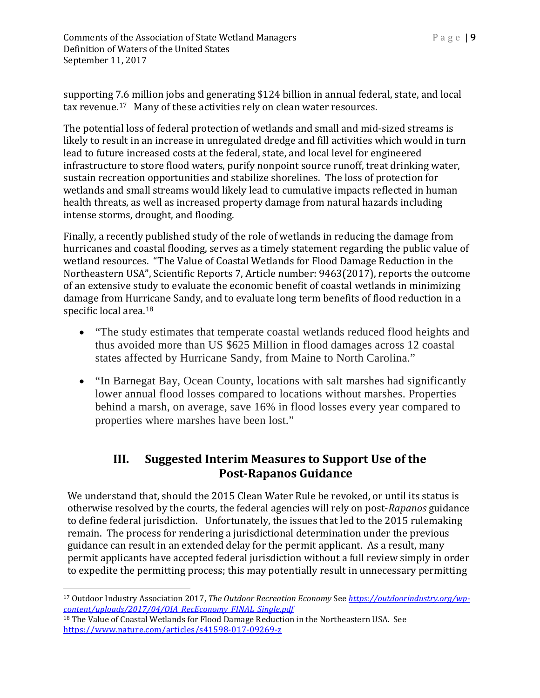**Comments of the Association of State Wetland Managers** Page | **9** Definition of Waters of the United States September 11, 2017

supporting 7.6 million jobs and generating \$124 billion in annual federal, state, and local tax revenue.[17](#page-8-0) Many of these activities rely on clean water resources.

The potential loss of federal protection of wetlands and small and mid-sized streams is likely to result in an increase in unregulated dredge and fill activities which would in turn lead to future increased costs at the federal, state, and local level for engineered infrastructure to store flood waters, purify nonpoint source runoff, treat drinking water, sustain recreation opportunities and stabilize shorelines. The loss of protection for wetlands and small streams would likely lead to cumulative impacts reflected in human health threats, as well as increased property damage from natural hazards including intense storms, drought, and flooding.

Finally, a recently published study of the role of wetlands in reducing the damage from hurricanes and coastal flooding, serves as a timely statement regarding the public value of wetland resources. "The Value of Coastal Wetlands for Flood Damage Reduction in the Northeastern USA", Scientific Reports 7, Article number: 9463(2017), reports the outcome of an extensive study to evaluate the economic benefit of coastal wetlands in minimizing damage from Hurricane Sandy, and to evaluate long term benefits of flood reduction in a specific local area. [18](#page-8-1)

- "The study estimates that temperate coastal wetlands reduced flood heights and thus avoided more than US \$625 Million in flood damages across 12 coastal states affected by Hurricane Sandy, from Maine to North Carolina."
- "In Barnegat Bay, Ocean County, locations with salt marshes had significantly lower annual flood losses compared to locations without marshes. Properties behind a marsh, on average, save 16% in flood losses every year compared to properties where marshes have been lost."

# **III. Suggested Interim Measures to Support Use of the Post-Rapanos Guidance**

We understand that, should the 2015 Clean Water Rule be revoked, or until its status is otherwise resolved by the courts, the federal agencies will rely on post-*Rapanos* guidance to define federal jurisdiction. Unfortunately, the issues that led to the 2015 rulemaking remain. The process for rendering a jurisdictional determination under the previous guidance can result in an extended delay for the permit applicant. As a result, many permit applicants have accepted federal jurisdiction without a full review simply in order to expedite the permitting process; this may potentially result in unnecessary permitting

<span id="page-8-0"></span> $\overline{a}$ <sup>17</sup> Outdoor Industry Association 2017, *The Outdoor Recreation Economy* See *[https://outdoorindustry.org/wp](https://outdoorindustry.org/wp-content/uploads/2017/04/OIA_RecEconomy_FINAL_Single.pdf)[content/uploads/2017/04/OIA\\_RecEconomy\\_FINAL\\_Single.pdf](https://outdoorindustry.org/wp-content/uploads/2017/04/OIA_RecEconomy_FINAL_Single.pdf)*

<span id="page-8-1"></span><sup>&</sup>lt;sup>18</sup> The Value of Coastal Wetlands for Flood Damage Reduction in the Northeastern USA. See <https://www.nature.com/articles/s41598-017-09269-z>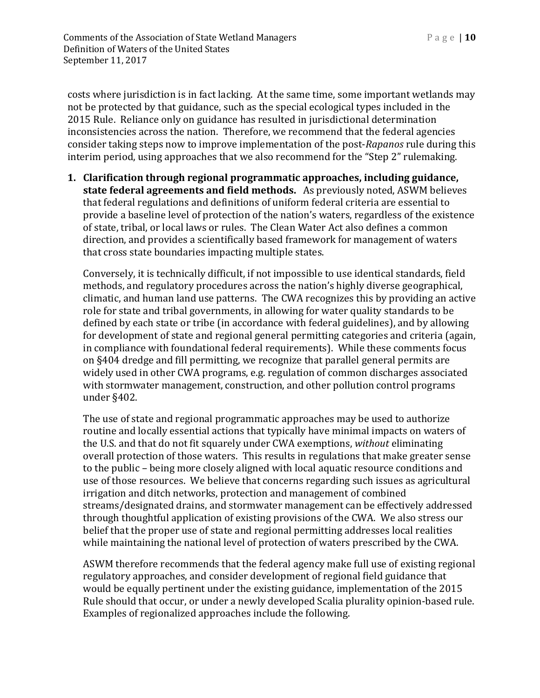costs where jurisdiction is in fact lacking. At the same time, some important wetlands may not be protected by that guidance, such as the special ecological types included in the 2015 Rule. Reliance only on guidance has resulted in jurisdictional determination inconsistencies across the nation. Therefore, we recommend that the federal agencies consider taking steps now to improve implementation of the post-*Rapanos* rule during this interim period, using approaches that we also recommend for the "Step 2" rulemaking.

**1. Clarification through regional programmatic approaches, including guidance, state federal agreements and field methods.** As previously noted, ASWM believes that federal regulations and definitions of uniform federal criteria are essential to provide a baseline level of protection of the nation's waters, regardless of the existence of state, tribal, or local laws or rules. The Clean Water Act also defines a common direction, and provides a scientifically based framework for management of waters that cross state boundaries impacting multiple states.

Conversely, it is technically difficult, if not impossible to use identical standards, field methods, and regulatory procedures across the nation's highly diverse geographical, climatic, and human land use patterns. The CWA recognizes this by providing an active role for state and tribal governments, in allowing for water quality standards to be defined by each state or tribe (in accordance with federal guidelines), and by allowing for development of state and regional general permitting categories and criteria (again, in compliance with foundational federal requirements). While these comments focus on §404 dredge and fill permitting, we recognize that parallel general permits are widely used in other CWA programs, e.g. regulation of common discharges associated with stormwater management, construction, and other pollution control programs under §402.

The use of state and regional programmatic approaches may be used to authorize routine and locally essential actions that typically have minimal impacts on waters of the U.S. and that do not fit squarely under CWA exemptions, *without* eliminating overall protection of those waters. This results in regulations that make greater sense to the public – being more closely aligned with local aquatic resource conditions and use of those resources. We believe that concerns regarding such issues as agricultural irrigation and ditch networks, protection and management of combined streams/designated drains, and stormwater management can be effectively addressed through thoughtful application of existing provisions of the CWA. We also stress our belief that the proper use of state and regional permitting addresses local realities while maintaining the national level of protection of waters prescribed by the CWA.

ASWM therefore recommends that the federal agency make full use of existing regional regulatory approaches, and consider development of regional field guidance that would be equally pertinent under the existing guidance, implementation of the 2015 Rule should that occur, or under a newly developed Scalia plurality opinion-based rule. Examples of regionalized approaches include the following.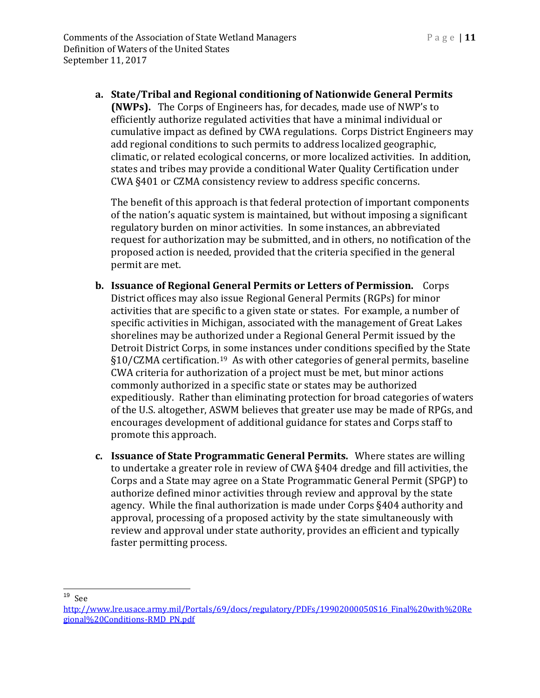**a. State/Tribal and Regional conditioning of Nationwide General Permits (NWPs).** The Corps of Engineers has, for decades, made use of NWP's to efficiently authorize regulated activities that have a minimal individual or cumulative impact as defined by CWA regulations. Corps District Engineers may add regional conditions to such permits to address localized geographic, climatic, or related ecological concerns, or more localized activities. In addition, states and tribes may provide a conditional Water Quality Certification under CWA §401 or CZMA consistency review to address specific concerns.

The benefit of this approach is that federal protection of important components of the nation's aquatic system is maintained, but without imposing a significant regulatory burden on minor activities. In some instances, an abbreviated request for authorization may be submitted, and in others, no notification of the proposed action is needed, provided that the criteria specified in the general permit are met.

- **b. Issuance of Regional General Permits or Letters of Permission.** Corps District offices may also issue Regional General Permits (RGPs) for minor activities that are specific to a given state or states. For example, a number of specific activities in Michigan, associated with the management of Great Lakes shorelines may be authorized under a Regional General Permit issued by the Detroit District Corps, in some instances under conditions specified by the State §10/CZMA certification.[19](#page-10-0) As with other categories of general permits, baseline CWA criteria for authorization of a project must be met, but minor actions commonly authorized in a specific state or states may be authorized expeditiously. Rather than eliminating protection for broad categories of waters of the U.S. altogether, ASWM believes that greater use may be made of RPGs, and encourages development of additional guidance for states and Corps staff to promote this approach.
- **c. Issuance of State Programmatic General Permits.** Where states are willing to undertake a greater role in review of CWA §404 dredge and fill activities, the Corps and a State may agree on a State Programmatic General Permit (SPGP) to authorize defined minor activities through review and approval by the state agency. While the final authorization is made under Corps §404 authority and approval, processing of a proposed activity by the state simultaneously with review and approval under state authority, provides an efficient and typically faster permitting process.

<span id="page-10-0"></span> <sup>19</sup> See

[http://www.lre.usace.army.mil/Portals/69/docs/regulatory/PDFs/19902000050S16\\_Final%20with%20Re](http://www.lre.usace.army.mil/Portals/69/docs/regulatory/PDFs/19902000050S16_Final%20with%20Regional%20Conditions-RMD_PN.pdf) [gional%20Conditions-RMD\\_PN.pdf](http://www.lre.usace.army.mil/Portals/69/docs/regulatory/PDFs/19902000050S16_Final%20with%20Regional%20Conditions-RMD_PN.pdf)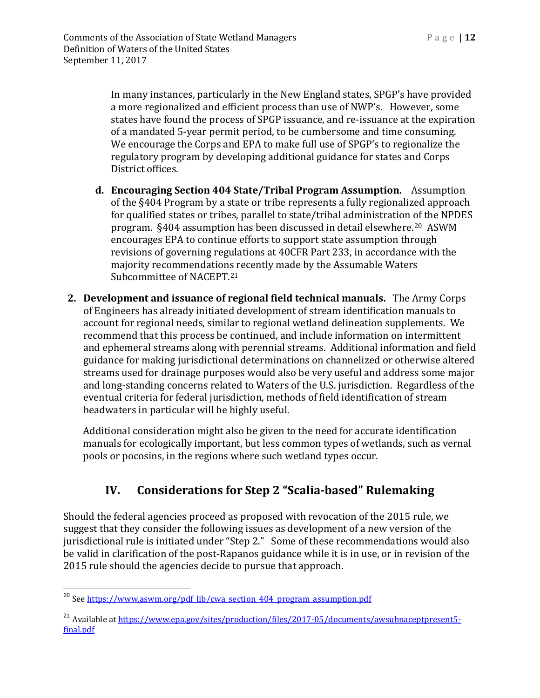In many instances, particularly in the New England states, SPGP's have provided a more regionalized and efficient process than use of NWP's. However, some states have found the process of SPGP issuance, and re-issuance at the expiration of a mandated 5-year permit period, to be cumbersome and time consuming. We encourage the Corps and EPA to make full use of SPGP's to regionalize the regulatory program by developing additional guidance for states and Corps District offices.

- **d. Encouraging Section 404 State/Tribal Program Assumption.** Assumption of the §404 Program by a state or tribe represents a fully regionalized approach for qualified states or tribes, parallel to state/tribal administration of the NPDES program. §404 assumption has been discussed in detail elsewhere. [20](#page-11-0) ASWM encourages EPA to continue efforts to support state assumption through revisions of governing regulations at 40CFR Part 233, in accordance with the majority recommendations recently made by the Assumable Waters Subcommittee of NACEPT.[21](#page-11-1)
- **2. Development and issuance of regional field technical manuals.** The Army Corps of Engineers has already initiated development of stream identification manuals to account for regional needs, similar to regional wetland delineation supplements. We recommend that this process be continued, and include information on intermittent and ephemeral streams along with perennial streams. Additional information and field guidance for making jurisdictional determinations on channelized or otherwise altered streams used for drainage purposes would also be very useful and address some major and long-standing concerns related to Waters of the U.S. jurisdiction. Regardless of the eventual criteria for federal jurisdiction, methods of field identification of stream headwaters in particular will be highly useful.

Additional consideration might also be given to the need for accurate identification manuals for ecologically important, but less common types of wetlands, such as vernal pools or pocosins, in the regions where such wetland types occur.

# **IV. Considerations for Step 2 "Scalia-based" Rulemaking**

Should the federal agencies proceed as proposed with revocation of the 2015 rule, we suggest that they consider the following issues as development of a new version of the jurisdictional rule is initiated under "Step 2." Some of these recommendations would also be valid in clarification of the post-Rapanos guidance while it is in use, or in revision of the 2015 rule should the agencies decide to pursue that approach.

<span id="page-11-0"></span><sup>&</sup>lt;sup>20</sup> See https://www.aswm.org/pdf lib/cwa\_section\_404\_program\_assumption.pdf

<span id="page-11-1"></span><sup>&</sup>lt;sup>21</sup> Available at [https://www.epa.gov/sites/production/files/2017-05/documents/awsubnaceptpresent5](https://www.epa.gov/sites/production/files/2017-05/documents/awsubnaceptpresent5-final.pdf) [final.pdf](https://www.epa.gov/sites/production/files/2017-05/documents/awsubnaceptpresent5-final.pdf)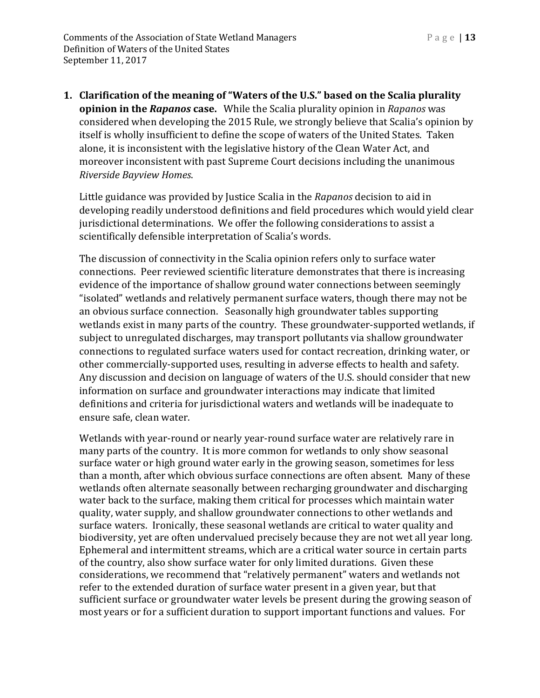**1. Clarification of the meaning of "Waters of the U.S." based on the Scalia plurality opinion in the** *Rapanos* **case.** While the Scalia plurality opinion in *Rapanos* was considered when developing the 2015 Rule, we strongly believe that Scalia's opinion by itself is wholly insufficient to define the scope of waters of the United States. Taken alone, it is inconsistent with the legislative history of the Clean Water Act, and moreover inconsistent with past Supreme Court decisions including the unanimous *Riverside Bayview Homes*.

Little guidance was provided by Justice Scalia in the *Rapanos* decision to aid in developing readily understood definitions and field procedures which would yield clear jurisdictional determinations. We offer the following considerations to assist a scientifically defensible interpretation of Scalia's words.

The discussion of connectivity in the Scalia opinion refers only to surface water connections. Peer reviewed scientific literature demonstrates that there is increasing evidence of the importance of shallow ground water connections between seemingly "isolated" wetlands and relatively permanent surface waters, though there may not be an obvious surface connection. Seasonally high groundwater tables supporting wetlands exist in many parts of the country. These groundwater-supported wetlands, if subject to unregulated discharges, may transport pollutants via shallow groundwater connections to regulated surface waters used for contact recreation, drinking water, or other commercially-supported uses, resulting in adverse effects to health and safety. Any discussion and decision on language of waters of the U.S. should consider that new information on surface and groundwater interactions may indicate that limited definitions and criteria for jurisdictional waters and wetlands will be inadequate to ensure safe, clean water.

Wetlands with year-round or nearly year-round surface water are relatively rare in many parts of the country. It is more common for wetlands to only show seasonal surface water or high ground water early in the growing season, sometimes for less than a month, after which obvious surface connections are often absent. Many of these wetlands often alternate seasonally between recharging groundwater and discharging water back to the surface, making them critical for processes which maintain water quality, water supply, and shallow groundwater connections to other wetlands and surface waters. Ironically, these seasonal wetlands are critical to water quality and biodiversity, yet are often undervalued precisely because they are not wet all year long. Ephemeral and intermittent streams, which are a critical water source in certain parts of the country, also show surface water for only limited durations. Given these considerations, we recommend that "relatively permanent" waters and wetlands not refer to the extended duration of surface water present in a given year, but that sufficient surface or groundwater water levels be present during the growing season of most years or for a sufficient duration to support important functions and values. For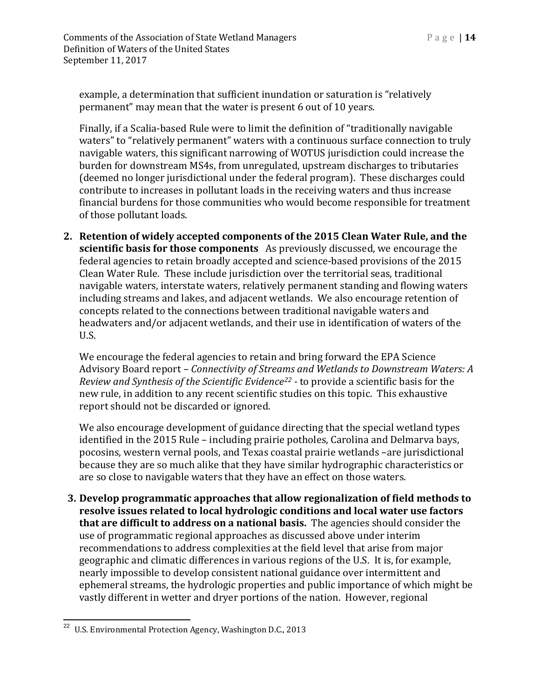example, a determination that sufficient inundation or saturation is "relatively permanent" may mean that the water is present 6 out of 10 years.

Finally, if a Scalia-based Rule were to limit the definition of "traditionally navigable waters" to "relatively permanent" waters with a continuous surface connection to truly navigable waters, this significant narrowing of WOTUS jurisdiction could increase the burden for downstream MS4s, from unregulated, upstream discharges to tributaries (deemed no longer jurisdictional under the federal program). These discharges could contribute to increases in pollutant loads in the receiving waters and thus increase financial burdens for those communities who would become responsible for treatment of those pollutant loads.

**2. Retention of widely accepted components of the 2015 Clean Water Rule, and the scientific basis for those components** As previously discussed, we encourage the federal agencies to retain broadly accepted and science-based provisions of the 2015 Clean Water Rule. These include jurisdiction over the territorial seas, traditional navigable waters, interstate waters, relatively permanent standing and flowing waters including streams and lakes, and adjacent wetlands. We also encourage retention of concepts related to the connections between traditional navigable waters and headwaters and/or adjacent wetlands, and their use in identification of waters of the U.S.

We encourage the federal agencies to retain and bring forward the EPA Science Advisory Board report – *Connectivity of Streams and Wetlands to Downstream Waters: A Review and Synthesis of the Scientific Evidence[22](#page-13-0) -* to provide a scientific basis for the new rule, in addition to any recent scientific studies on this topic. This exhaustive report should not be discarded or ignored.

We also encourage development of guidance directing that the special wetland types identified in the 2015 Rule – including prairie potholes, Carolina and Delmarva bays, pocosins, western vernal pools, and Texas coastal prairie wetlands –are jurisdictional because they are so much alike that they have similar hydrographic characteristics or are so close to navigable waters that they have an effect on those waters.

**3. Develop programmatic approaches that allow regionalization of field methods to resolve issues related to local hydrologic conditions and local water use factors that are difficult to address on a national basis.** The agencies should consider the use of programmatic regional approaches as discussed above under interim recommendations to address complexities at the field level that arise from major geographic and climatic differences in various regions of the U.S. It is, for example, nearly impossible to develop consistent national guidance over intermittent and ephemeral streams, the hydrologic properties and public importance of which might be vastly different in wetter and dryer portions of the nation. However, regional

<span id="page-13-0"></span><sup>&</sup>lt;sup>22</sup> U.S. Environmental Protection Agency, Washington D.C., 2013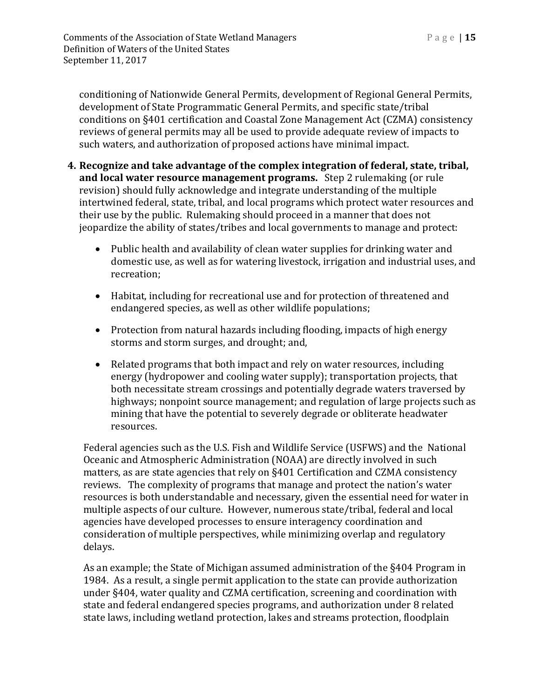conditioning of Nationwide General Permits, development of Regional General Permits, development of State Programmatic General Permits, and specific state/tribal conditions on §401 certification and Coastal Zone Management Act (CZMA) consistency reviews of general permits may all be used to provide adequate review of impacts to such waters, and authorization of proposed actions have minimal impact.

- **4. Recognize and take advantage of the complex integration of federal, state, tribal, and local water resource management programs.** Step 2 rulemaking (or rule revision) should fully acknowledge and integrate understanding of the multiple intertwined federal, state, tribal, and local programs which protect water resources and their use by the public. Rulemaking should proceed in a manner that does not jeopardize the ability of states/tribes and local governments to manage and protect:
	- Public health and availability of clean water supplies for drinking water and domestic use, as well as for watering livestock, irrigation and industrial uses, and recreation;
	- Habitat, including for recreational use and for protection of threatened and endangered species, as well as other wildlife populations;
	- Protection from natural hazards including flooding, impacts of high energy storms and storm surges, and drought; and,
	- Related programs that both impact and rely on water resources, including energy (hydropower and cooling water supply); transportation projects, that both necessitate stream crossings and potentially degrade waters traversed by highways; nonpoint source management; and regulation of large projects such as mining that have the potential to severely degrade or obliterate headwater resources.

Federal agencies such as the U.S. Fish and Wildlife Service (USFWS) and the National Oceanic and Atmospheric Administration (NOAA) are directly involved in such matters, as are state agencies that rely on §401 Certification and CZMA consistency reviews. The complexity of programs that manage and protect the nation's water resources is both understandable and necessary, given the essential need for water in multiple aspects of our culture. However, numerous state/tribal, federal and local agencies have developed processes to ensure interagency coordination and consideration of multiple perspectives, while minimizing overlap and regulatory delays.

As an example; the State of Michigan assumed administration of the §404 Program in 1984. As a result, a single permit application to the state can provide authorization under §404, water quality and CZMA certification, screening and coordination with state and federal endangered species programs, and authorization under 8 related state laws, including wetland protection, lakes and streams protection, floodplain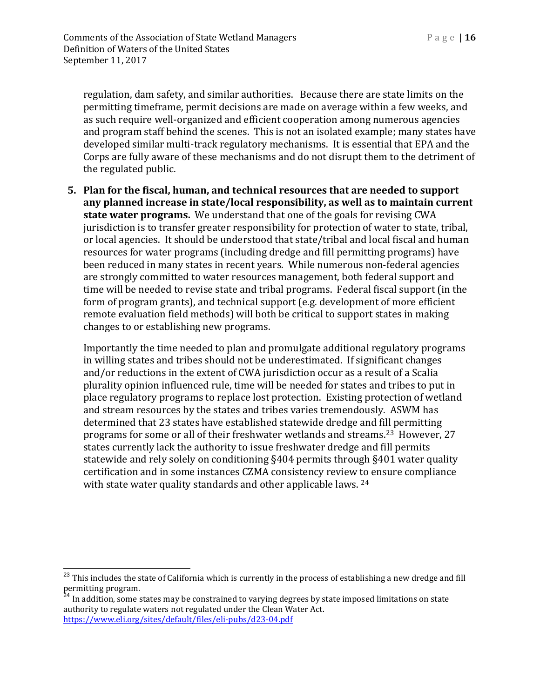regulation, dam safety, and similar authorities. Because there are state limits on the permitting timeframe, permit decisions are made on average within a few weeks, and as such require well-organized and efficient cooperation among numerous agencies and program staff behind the scenes. This is not an isolated example; many states have developed similar multi-track regulatory mechanisms. It is essential that EPA and the Corps are fully aware of these mechanisms and do not disrupt them to the detriment of the regulated public.

**5. Plan for the fiscal, human, and technical resources that are needed to support any planned increase in state/local responsibility, as well as to maintain current state water programs.** We understand that one of the goals for revising CWA jurisdiction is to transfer greater responsibility for protection of water to state, tribal, or local agencies. It should be understood that state/tribal and local fiscal and human resources for water programs (including dredge and fill permitting programs) have been reduced in many states in recent years. While numerous non-federal agencies are strongly committed to water resources management, both federal support and time will be needed to revise state and tribal programs. Federal fiscal support (in the form of program grants), and technical support (e.g. development of more efficient remote evaluation field methods) will both be critical to support states in making changes to or establishing new programs.

Importantly the time needed to plan and promulgate additional regulatory programs in willing states and tribes should not be underestimated. If significant changes and/or reductions in the extent of CWA jurisdiction occur as a result of a Scalia plurality opinion influenced rule, time will be needed for states and tribes to put in place regulatory programs to replace lost protection. Existing protection of wetland and stream resources by the states and tribes varies tremendously. ASWM has determined that 23 states have established statewide dredge and fill permitting programs for some or all of their freshwater wetlands and streams.[23](#page-15-0) However, 27 states currently lack the authority to issue freshwater dredge and fill permits statewide and rely solely on conditioning §404 permits through §401 water quality certification and in some instances CZMA consistency review to ensure compliance with state water quality standards and other applicable laws. <sup>[24](#page-15-1)</sup>

<span id="page-15-0"></span> $23$  This includes the state of California which is currently in the process of establishing a new dredge and fill

<span id="page-15-1"></span>permitting program.<br><sup>24</sup> In addition, some states may be constrained to varying degrees by state imposed limitations on state authority to regulate waters not regulated under the Clean Water Act. <https://www.eli.org/sites/default/files/eli-pubs/d23-04.pdf>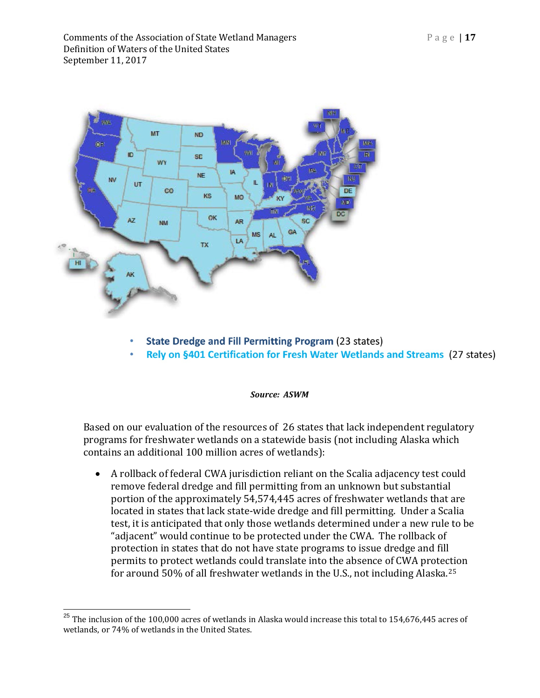

- **State Dredge and Fill Permitting Program (23 states)**
- Rely on §401 Certification for Fresh Water Wetlands and Streams (27 states)

#### *Source: ASWM*

Based on our evaluation of the resources of 26 states that lack independent regulatory programs for freshwater wetlands on a statewide basis (not including Alaska which contains an additional 100 million acres of wetlands):

• A rollback of federal CWA jurisdiction reliant on the Scalia adjacency test could remove federal dredge and fill permitting from an unknown but substantial portion of the approximately 54,574,445 acres of freshwater wetlands that are located in states that lack state-wide dredge and fill permitting. Under a Scalia test, it is anticipated that only those wetlands determined under a new rule to be "adjacent" would continue to be protected under the CWA. The rollback of protection in states that do not have state programs to issue dredge and fill permits to protect wetlands could translate into the absence of CWA protection for around 50% of all freshwater wetlands in the U.S., not including Alaska.[25](#page-16-0)

<span id="page-16-0"></span> $25$  The inclusion of the 100,000 acres of wetlands in Alaska would increase this total to 154,676,445 acres of wetlands, or 74% of wetlands in the United States.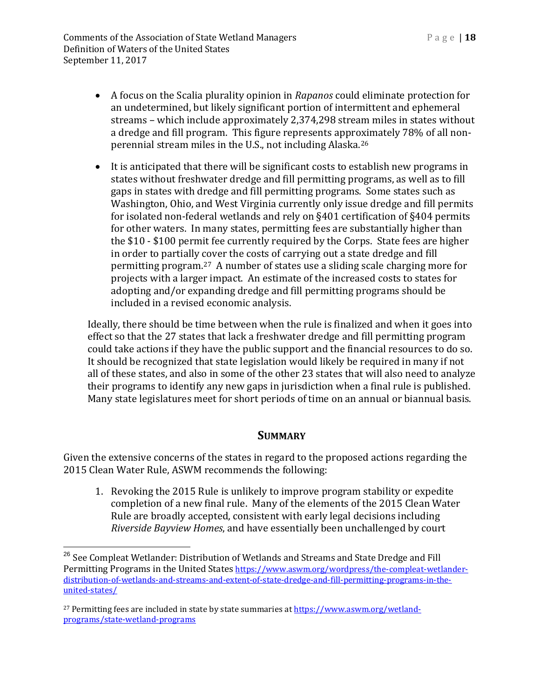Comments of the Association of State Wetland Managers Page | **18** Definition of Waters of the United States September 11, 2017

- A focus on the Scalia plurality opinion in *Rapanos* could eliminate protection for an undetermined, but likely significant portion of intermittent and ephemeral streams – which include approximately 2,374,298 stream miles in states without a dredge and fill program. This figure represents approximately 78% of all nonperennial stream miles in the U.S., not including Alaska.[26](#page-17-0)
- It is anticipated that there will be significant costs to establish new programs in states without freshwater dredge and fill permitting programs, as well as to fill gaps in states with dredge and fill permitting programs. Some states such as Washington, Ohio, and West Virginia currently only issue dredge and fill permits for isolated non-federal wetlands and rely on §401 certification of §404 permits for other waters. In many states, permitting fees are substantially higher than the \$10 - \$100 permit fee currently required by the Corps. State fees are higher in order to partially cover the costs of carrying out a state dredge and fill permitting program.[27](#page-17-1) A number of states use a sliding scale charging more for projects with a larger impact. An estimate of the increased costs to states for adopting and/or expanding dredge and fill permitting programs should be included in a revised economic analysis.

Ideally, there should be time between when the rule is finalized and when it goes into effect so that the 27 states that lack a freshwater dredge and fill permitting program could take actions if they have the public support and the financial resources to do so. It should be recognized that state legislation would likely be required in many if not all of these states, and also in some of the other 23 states that will also need to analyze their programs to identify any new gaps in jurisdiction when a final rule is published. Many state legislatures meet for short periods of time on an annual or biannual basis.

#### **SUMMARY**

Given the extensive concerns of the states in regard to the proposed actions regarding the 2015 Clean Water Rule, ASWM recommends the following:

1. Revoking the 2015 Rule is unlikely to improve program stability or expedite completion of a new final rule. Many of the elements of the 2015 Clean Water Rule are broadly accepted, consistent with early legal decisions including *Riverside Bayview Homes*, and have essentially been unchallenged by court

<span id="page-17-0"></span><sup>&</sup>lt;sup>26</sup> See Compleat Wetlander: Distribution of Wetlands and Streams and State Dredge and Fill Permitting Programs in the United States [https://www.aswm.org/wordpress/the-compleat-wetlander](https://www.aswm.org/wordpress/the-compleat-wetlander-distribution-of-wetlands-and-streams-and-extent-of-state-dredge-and-fill-permitting-programs-in-the-united-states/)[distribution-of-wetlands-and-streams-and-extent-of-state-dredge-and-fill-permitting-programs-in-the](https://www.aswm.org/wordpress/the-compleat-wetlander-distribution-of-wetlands-and-streams-and-extent-of-state-dredge-and-fill-permitting-programs-in-the-united-states/)[united-states/](https://www.aswm.org/wordpress/the-compleat-wetlander-distribution-of-wetlands-and-streams-and-extent-of-state-dredge-and-fill-permitting-programs-in-the-united-states/)

<span id="page-17-1"></span><sup>27</sup> Permitting fees are included in state by state summaries a[t https://www.aswm.org/wetland](https://www.aswm.org/wetland-programs/state-wetland-programs)[programs/state-wetland-programs](https://www.aswm.org/wetland-programs/state-wetland-programs)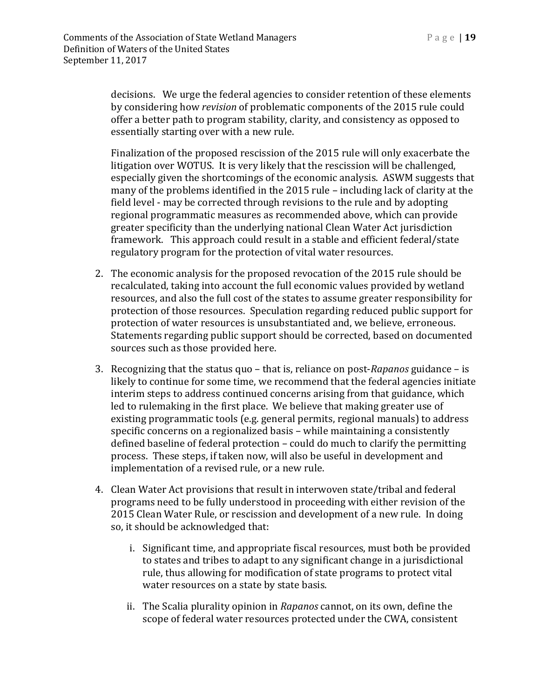decisions. We urge the federal agencies to consider retention of these elements by considering how *revision* of problematic components of the 2015 rule could offer a better path to program stability, clarity, and consistency as opposed to essentially starting over with a new rule.

Finalization of the proposed rescission of the 2015 rule will only exacerbate the litigation over WOTUS. It is very likely that the rescission will be challenged, especially given the shortcomings of the economic analysis. ASWM suggests that many of the problems identified in the 2015 rule – including lack of clarity at the field level - may be corrected through revisions to the rule and by adopting regional programmatic measures as recommended above, which can provide greater specificity than the underlying national Clean Water Act jurisdiction framework. This approach could result in a stable and efficient federal/state regulatory program for the protection of vital water resources.

- 2. The economic analysis for the proposed revocation of the 2015 rule should be recalculated, taking into account the full economic values provided by wetland resources, and also the full cost of the states to assume greater responsibility for protection of those resources. Speculation regarding reduced public support for protection of water resources is unsubstantiated and, we believe, erroneous. Statements regarding public support should be corrected, based on documented sources such as those provided here.
- 3. Recognizing that the status quo that is, reliance on post-*Rapanos* guidance is likely to continue for some time, we recommend that the federal agencies initiate interim steps to address continued concerns arising from that guidance, which led to rulemaking in the first place. We believe that making greater use of existing programmatic tools (e.g. general permits, regional manuals) to address specific concerns on a regionalized basis – while maintaining a consistently defined baseline of federal protection – could do much to clarify the permitting process. These steps, if taken now, will also be useful in development and implementation of a revised rule, or a new rule.
- 4. Clean Water Act provisions that result in interwoven state/tribal and federal programs need to be fully understood in proceeding with either revision of the 2015 Clean Water Rule, or rescission and development of a new rule. In doing so, it should be acknowledged that:
	- i. Significant time, and appropriate fiscal resources, must both be provided to states and tribes to adapt to any significant change in a jurisdictional rule, thus allowing for modification of state programs to protect vital water resources on a state by state basis.
	- ii. The Scalia plurality opinion in *Rapanos* cannot, on its own, define the scope of federal water resources protected under the CWA, consistent